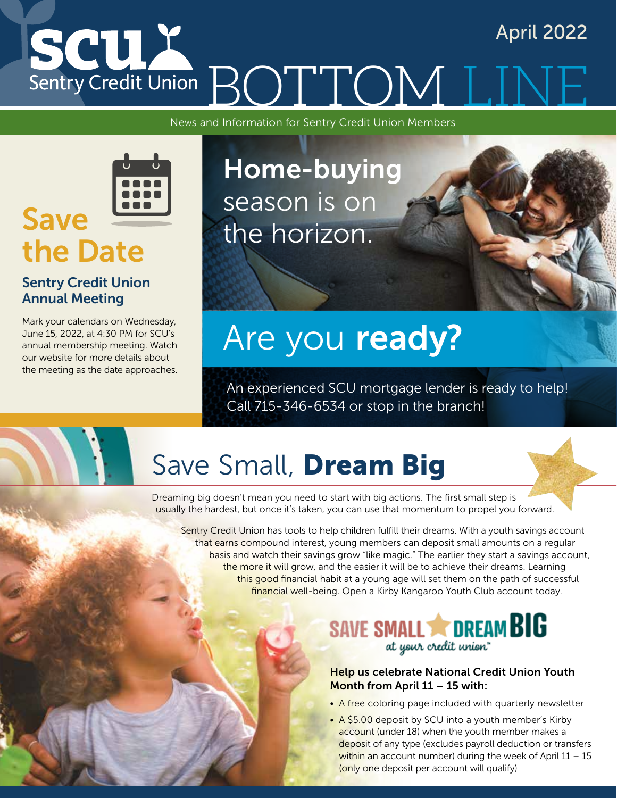# SCUX April 2022 Sentry Credit Union BOTTOM I

News and Information for Sentry Credit Union Members



### Sentry Credit Union Annual Meeting

Mark your calendars on Wednesday, June 15, 2022, at 4:30 PM for SCU's annual membership meeting. Watch our website for more details about the meeting as the date approaches.



# Are you ready?

An experienced SCU mortgage lender is ready to help! Call 715-346-6534 or stop in the branch!

# Save Small, Dream Big

Dreaming big doesn't mean you need to start with big actions. The first small step is usually the hardest, but once it's taken, you can use that momentum to propel you forward.

Sentry Credit Union has tools to help children fulfill their dreams. With a youth savings account that earns compound interest, young members can deposit small amounts on a regular basis and watch their savings grow "like magic." The earlier they start a savings account, the more it will grow, and the easier it will be to achieve their dreams. Learning this good financial habit at a young age will set them on the path of successful financial well-being. Open a Kirby Kangaroo Youth Club account today.

### SAVE SMALL **COREAM BIG** at your credit union"

### Help us celebrate National Credit Union Youth Month from April 11 – 15 with:

- A free coloring page included with quarterly newsletter
- A \$5.00 deposit by SCU into a youth member's Kirby account (under 18) when the youth member makes a deposit of any type (excludes payroll deduction or transfers within an account number) during the week of April  $11 - 15$ (only one deposit per account will qualify)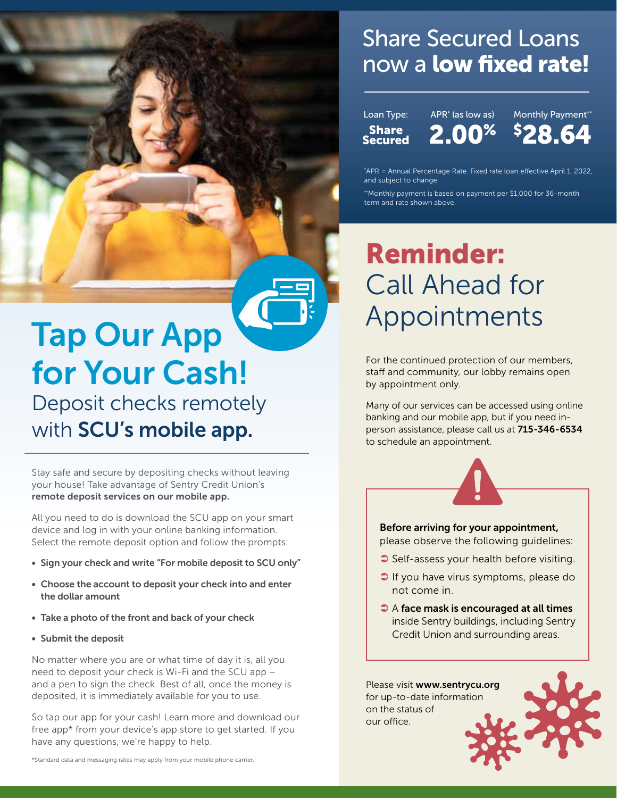## Share Secured Loans now a **low fixed rate!**

Loan Type: **Share** Secured

APR\* (as low as) 2.00%

Monthly Payment\*\* \$ 28.64

\* APR = Annual Percentage Rate. Fixed rate loan effective April 1, 2022, and subject to change.

\*\*Monthly payment is based on payment per \$1,000 for 36-month term and rate shown above.

## Reminder: Call Ahead for Appointments

For the continued protection of our members, staff and community, our lobby remains open by appointment only.

Many of our services can be accessed using online banking and our mobile app, but if you need inperson assistance, please call us at 715-346-6534 to schedule an appointment.



Before arriving for your appointment,

please observe the following guidelines:

- Self-assess your health before visiting.
- If you have virus symptoms, please do not come in.
- $\bullet$  A face mask is encouraged at all times inside Sentry buildings, including Sentry Credit Union and surrounding areas.

Please visit www.sentrycu.org for up-to-date information on the status of our office.



## Tap Our App for Your Cash! Deposit checks remotely with SCU's mobile app.

Stay safe and secure by depositing checks without leaving your house! Take advantage of Sentry Credit Union's

remote deposit services on our mobile app.

All you need to do is download the SCU app on your smart device and log in with your online banking information. Select the remote deposit option and follow the prompts:

- Sign your check and write "For mobile deposit to SCU only"
- Choose the account to deposit your check into and enter the dollar amount
- Take a photo of the front and back of your check
- Submit the deposit

No matter where you are or what time of day it is, all you need to deposit your check is Wi-Fi and the SCU app – and a pen to sign the check. Best of all, once the money is deposited, it is immediately available for you to use.

So tap our app for your cash! Learn more and download our free app\* from your device's app store to get started. If you have any questions, we're happy to help.

\*Standard data and messaging rates may apply from your mobile phone carrier.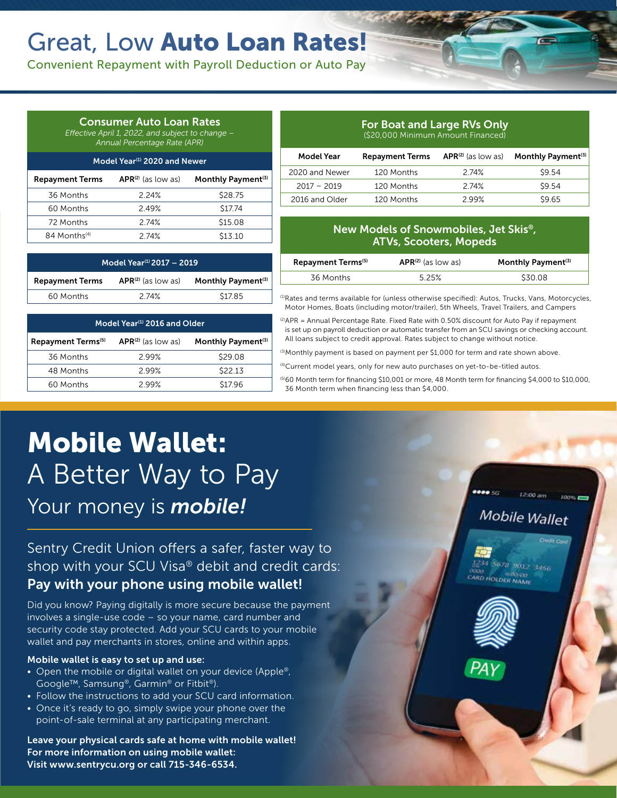## Great, Low Auto Loan Rates!

Convenient Repayment with Payroll Deduction or Auto Pay

### Consumer Auto Loan Rates

*Effective April 1, 2022, and subject to change – Annual Percentage Rate (APR)*

| Model Year <sup>(1)</sup> 2020 and Newer |                         |                                |  |  |  |
|------------------------------------------|-------------------------|--------------------------------|--|--|--|
| <b>Repayment Terms</b>                   | $APR^{(2)}$ (as low as) | Monthly Payment <sup>(3)</sup> |  |  |  |
| 36 Months                                | 2.24%                   | \$28.75                        |  |  |  |
| 60 Months                                | 2.49%                   | \$17.74                        |  |  |  |
| 72 Months                                | 2 74%                   | \$15.08                        |  |  |  |
| 84 Months <sup>(4)</sup>                 | 2 74%                   | \$13.10                        |  |  |  |

Model Year<sup>(1)</sup> 2017 - 2019 Repayment Terms APR<sup>(2)</sup> (as low as) Monthly Payment<sup>(3)</sup> 60 Months 2.74% \$17.85

Model Year<sup>(1)</sup> 2016 and Older Repayment Terms<sup>(5)</sup> APR<sup>(2)</sup> (as low as) Monthly Payment<sup>(3)</sup> 36 Months 2.99% \$29.08 48 Months 2.99% \$22.13 60 Months 2.99% \$17.96

| (\$20,000 Minimum Amount Financed) |                        |                      |                                |  |
|------------------------------------|------------------------|----------------------|--------------------------------|--|
| Model Year                         | <b>Repayment Terms</b> | $APR(2)$ (as low as) | Monthly Payment <sup>(3)</sup> |  |
| 2020 and Newer                     | 120 Months             | 2.74%                | \$9.54                         |  |
| $2017 - 2019$                      | 120 Months             | 2 74%                | \$9.54                         |  |
| 2016 and Older                     | 120 Months             | 299%                 | \$9.65                         |  |

For Boat and Large RVs Only

### New Models of Snowmobiles, Jet Skis®, ATVs, Scooters, Mopeds

| Repayment Terms <sup>(5)</sup> | $APR(2)$ (as low as) | Monthly Payment <sup>(3)</sup> |
|--------------------------------|----------------------|--------------------------------|
| 36 Months                      | 5.25%                | S30.08                         |

(1)Rates and terms available for (unless otherwise specified): Autos, Trucks, Vans, Motorcycles, Motor Homes, Boats (including motor/trailer), 5th Wheels, Travel Trailers, and Campers

(2)APR = Annual Percentage Rate. Fixed Rate with 0.50% discount for Auto Pay if repayment is set up on payroll deduction or automatic transfer from an SCU savings or checking account. All loans subject to credit approval. Rates subject to change without notice.

(3) Monthly payment is based on payment per \$1,000 for term and rate shown above.

(4)Current model years, only for new auto purchases on yet-to-be-titled autos.

 $^{(5)}$ 60 Month term for financing \$10,001 or more, 48 Month term for financing \$4,000 to \$10,000, 36 Month term when financing less than \$4,000.

## Mobile Wallet: A Better Way to Pay Your money is *mobile!*

Sentry Credit Union offers a safer, faster way to shop with your SCU Visa® debit and credit cards: Pay with your phone using mobile wallet!

Did you know? Paying digitally is more secure because the payment involves a single-use code – so your name, card number and security code stay protected. Add your SCU cards to your mobile wallet and pay merchants in stores, online and within apps.

#### Mobile wallet is easy to set up and use:

- Open the mobile or digital wallet on your device (Apple®, Google™, Samsung®, Garmin® or Fitbit®).
- Follow the instructions to add your SCU card information.
- Once it's ready to go, simply swipe your phone over the point-of-sale terminal at any participating merchant.

Leave your physical cards safe at home with mobile wallet! For more information on using mobile wallet: Visit www.sentrycu.org or call 715-346-6534.

## Mobile Wallet

 $200 \text{ am}$ 

5678 9012 3456 **NO HOLDER NAME**